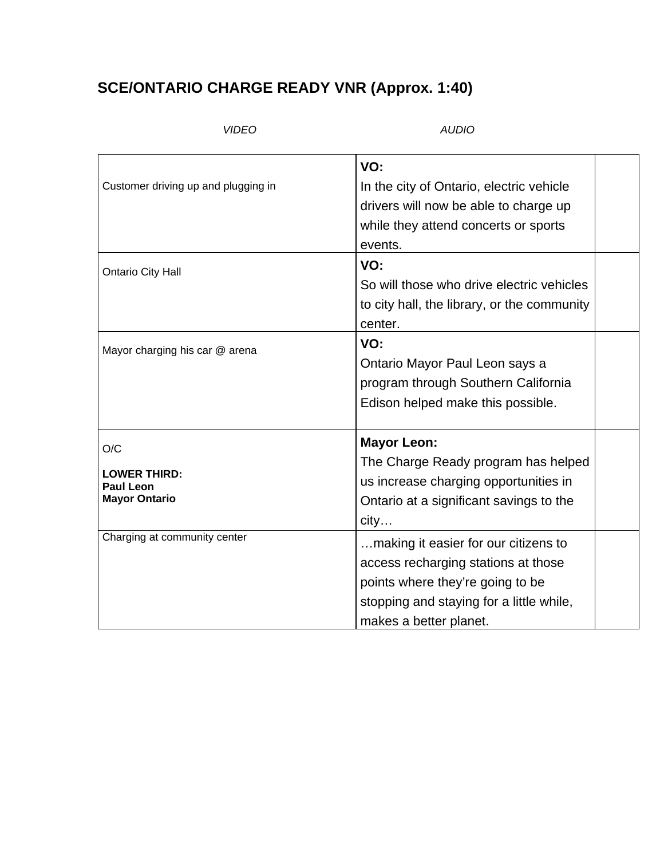## **SCE/ONTARIO CHARGE READY VNR (Approx. 1:40)**

## *VIDEO AUDIO*

| Customer driving up and plugging in<br><b>Ontario City Hall</b> | VO:<br>In the city of Ontario, electric vehicle<br>drivers will now be able to charge up<br>while they attend concerts or sports<br>events.<br>VO:<br>So will those who drive electric vehicles<br>to city hall, the library, or the community |  |
|-----------------------------------------------------------------|------------------------------------------------------------------------------------------------------------------------------------------------------------------------------------------------------------------------------------------------|--|
|                                                                 | center.                                                                                                                                                                                                                                        |  |
| Mayor charging his car @ arena                                  | VO:<br>Ontario Mayor Paul Leon says a<br>program through Southern California<br>Edison helped make this possible.                                                                                                                              |  |
| O/C<br><b>LOWER THIRD:</b><br>Paul Leon<br><b>Mayor Ontario</b> | <b>Mayor Leon:</b><br>The Charge Ready program has helped<br>us increase charging opportunities in<br>Ontario at a significant savings to the<br>city                                                                                          |  |
| Charging at community center                                    | making it easier for our citizens to<br>access recharging stations at those<br>points where they're going to be<br>stopping and staying for a little while,<br>makes a better planet.                                                          |  |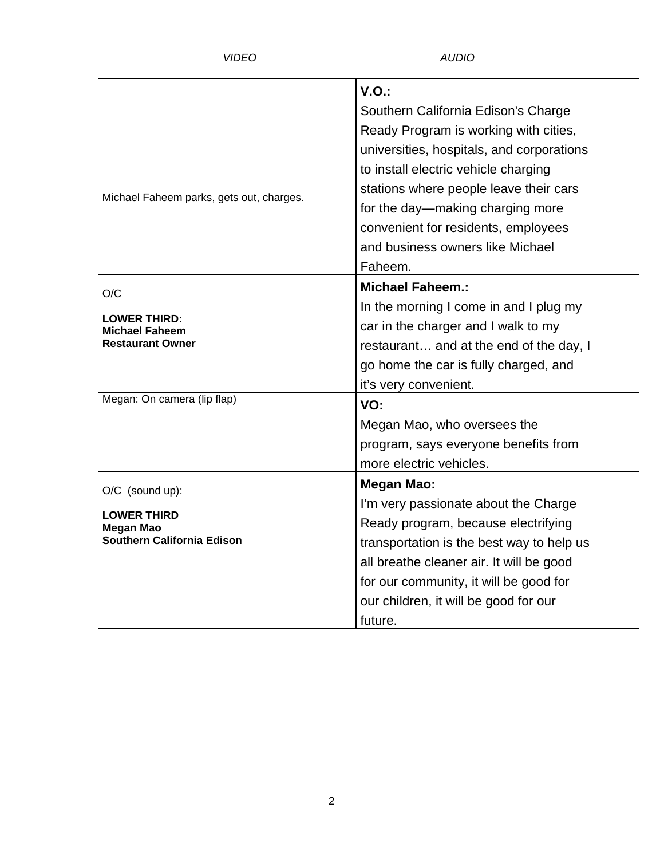|                                                                  | V.O.                                      |  |
|------------------------------------------------------------------|-------------------------------------------|--|
| Michael Faheem parks, gets out, charges.                         | Southern California Edison's Charge       |  |
|                                                                  | Ready Program is working with cities,     |  |
|                                                                  | universities, hospitals, and corporations |  |
|                                                                  | to install electric vehicle charging      |  |
|                                                                  | stations where people leave their cars    |  |
|                                                                  | for the day—making charging more          |  |
|                                                                  | convenient for residents, employees       |  |
|                                                                  | and business owners like Michael          |  |
|                                                                  | Faheem.                                   |  |
| O/C                                                              | <b>Michael Faheem.:</b>                   |  |
| LOWER THIRD:<br><b>Michael Faheem</b><br><b>Restaurant Owner</b> | In the morning I come in and I plug my    |  |
|                                                                  | car in the charger and I walk to my       |  |
|                                                                  | restaurant and at the end of the day, I   |  |
|                                                                  | go home the car is fully charged, and     |  |
|                                                                  | it's very convenient.                     |  |
| Megan: On camera (lip flap)                                      | VO:                                       |  |
|                                                                  | Megan Mao, who oversees the               |  |
|                                                                  | program, says everyone benefits from      |  |
|                                                                  | more electric vehicles.                   |  |
| O/C (sound up):                                                  | <b>Megan Mao:</b>                         |  |
|                                                                  | I'm very passionate about the Charge      |  |
| <b>LOWER THIRD</b><br>Megan Mao                                  | Ready program, because electrifying       |  |
| Southern California Edison                                       | transportation is the best way to help us |  |
|                                                                  | all breathe cleaner air. It will be good  |  |
|                                                                  | for our community, it will be good for    |  |
|                                                                  | our children, it will be good for our     |  |
|                                                                  | future.                                   |  |